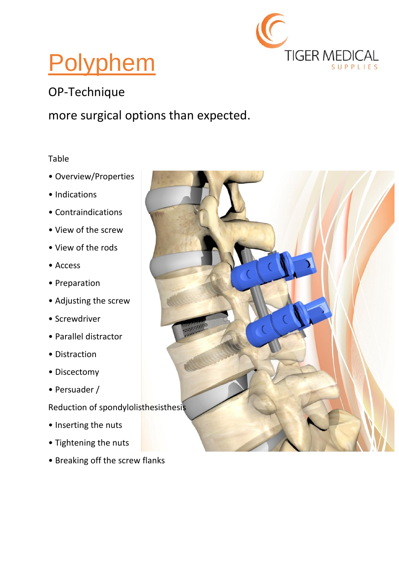

# Polyphem

### OP-Technique

#### more surgical options than expected.

#### Table

- Overview/Properties
- Indications
- Contraindications
- View of the screw
- View of the rods
- Access
- Preparation
- Adjusting the screw
- Screwdriver
- Parallel distractor
- Distraction
- Discectomy
- Persuader /
- Reduction of spondylolisthesisthesis
- Inserting the nuts
- Tightening the nuts
- Breaking off the screw flanks

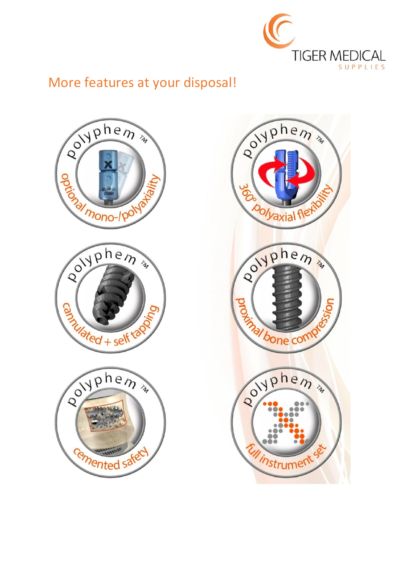

### More features at your disposal!

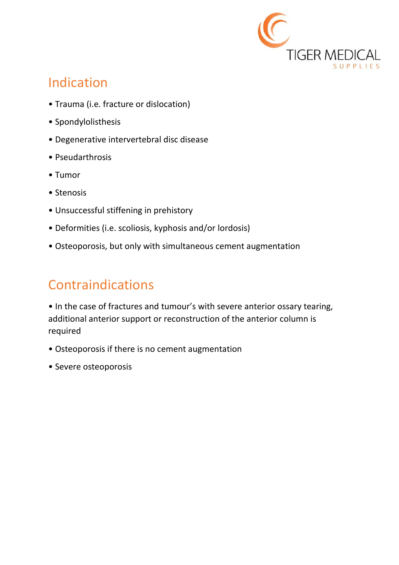

## Indication

- Trauma (i.e. fracture or dislocation)
- Spondylolisthesis
- Degenerative intervertebral disc disease
- Pseudarthrosis
- Tumor
- Stenosis
- Unsuccessful stiffening in prehistory
- Deformities (i.e. scoliosis, kyphosis and/or lordosis)
- Osteoporosis, but only with simultaneous cement augmentation

# Contraindications

• In the case of fractures and tumour's with severe anterior ossary tearing, additional anterior support or reconstruction of the anterior column is required

- Osteoporosis if there is no cement augmentation
- Severe osteoporosis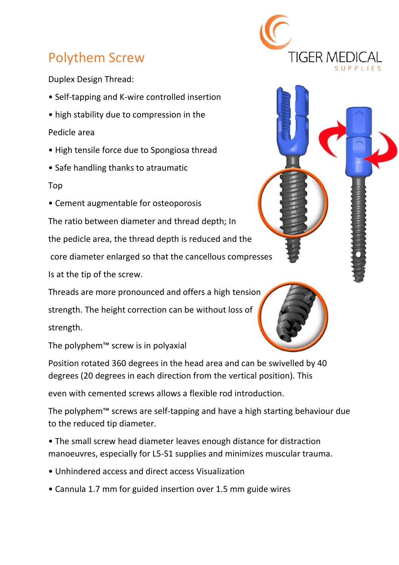## Polythem Screw

Duplex Design Thread:

- Self-tapping and K-wire controlled insertion
- high stability due to compression in the

Pedicle area

- High tensile force due to Spongiosa thread
- Safe handling thanks to atraumatic

#### Top

• Cement augmentable for osteoporosis

The ratio between diameter and thread depth; In the pedicle area, the thread depth is reduced and the core diameter enlarged so that the cancellous compresses Is at the tip of the screw.

Threads are more pronounced and offers a high tension strength. The height correction can be without loss of strength.

The polyphem™ screw is in polyaxial

Position rotated 360 degrees in the head area and can be swivelled by 40 degrees (20 degrees in each direction from the vertical position). This

even with cemented screws allows a flexible rod introduction.

The polyphem™ screws are self-tapping and have a high starting behaviour due to the reduced tip diameter.

• The small screw head diameter leaves enough distance for distraction manoeuvres, especially for L5-S1 supplies and minimizes muscular trauma.

- Unhindered access and direct access Visualization
- Cannula 1.7 mm for guided insertion over 1.5 mm guide wires

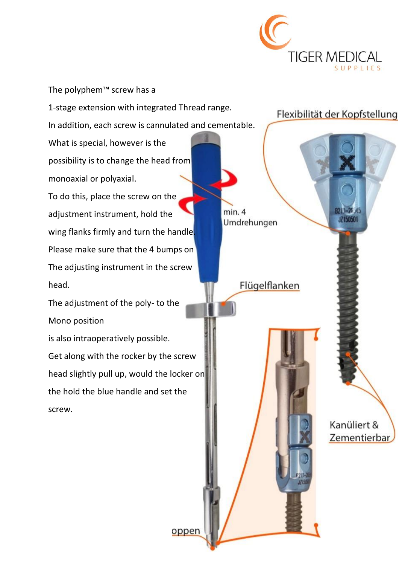

The polyphem™ screw has a 1-stage extension with integrated Thread range. In addition, each screw is cannulated and cementable. What is special, however is the possibility is to change the head from monoaxial or polyaxial. To do this, place the screw on the adjustment instrument, hold the wing flanks firmly and turn the handle. Please make sure that the 4 bumps on The adjusting instrument in the screw head. The adjustment of the poly- to the Mono position is also intraoperatively possible. Get along with the rocker by the screw head slightly pull up, would the locker on the hold the blue handle and set the

oppen

screw.

Flexibilität der Kopfstellung

JZ150501

 $min.4$ Umdrehungen

Flügelflanken

Kanüliert & Zementierbar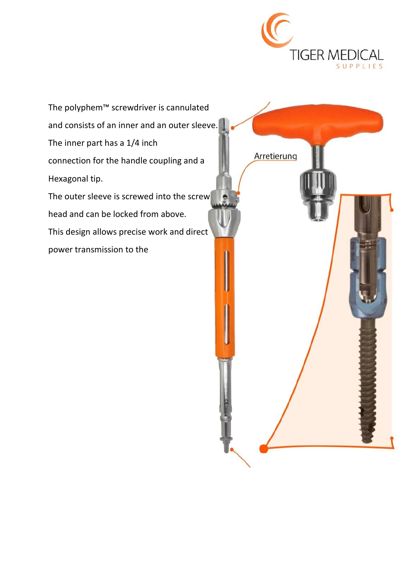

The polyphem™ screwdriver is cannulated and consists of an inner and an outer sleeve. The inner part has a 1/4 inch Arretierung connection for the handle coupling and a Hexagonal tip. The outer sleeve is screwed into the screw head and can be locked from above. This design allows precise work and direct power transmission to the